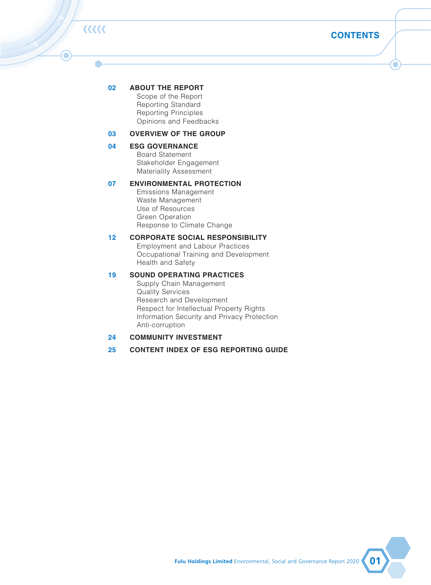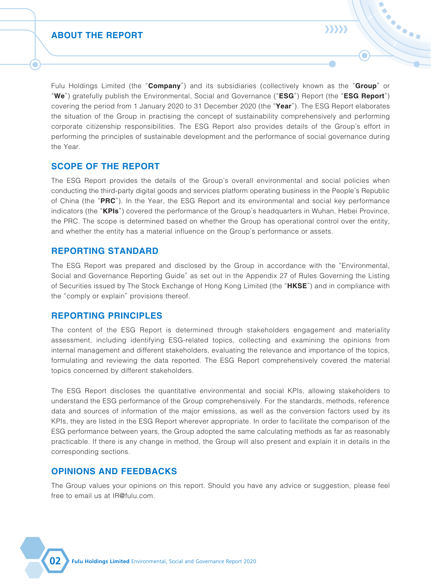**CONTENTS**

# くくくくく

۰

### **02 ABOUT THE REPORT**

 Scope of the Report Reporting Standard Reporting Principles Opinions and Feedbacks

#### **03 OVERVIEW OF THE GROUP**

**04 ESG GOVERNANCE** Board Statement Stakeholder Engagement Materiality Assessment

#### **07 ENVIRONMENTAL PROTECTION**

 Emissions Management Waste Management Use of Resources Green Operation Response to Climate Change

#### **12 CORPORATE SOCIAL RESPONSIBILITY**

 Employment and Labour Practices Occupational Training and Development Health and Safety

#### **19 SOUND OPERATING PRACTICES**

 Supply Chain Management Quality Services Research and Development Respect for Intellectual Property Rights Information Security and Privacy Protection Anti-corruption

#### **24 COMMUNITY INVESTMENT**

#### **25 CONTENT INDEX OF ESG REPORTING GUIDE**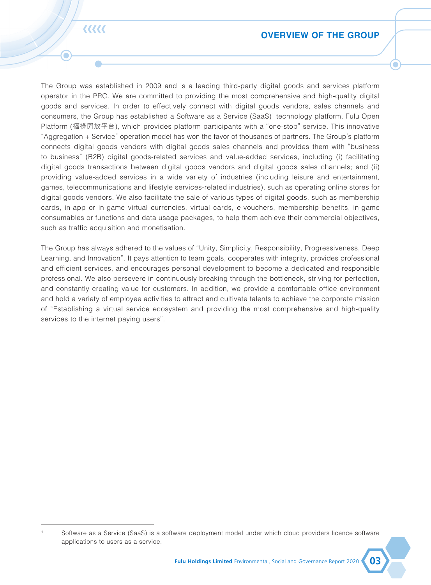Fulu Holdings Limited (the "**Company**") and its subsidiaries (collectively known as the "**Group**" or "**We**") gratefully publish the Environmental, Social and Governance ("**ESG**") Report (the "**ESG Report**") covering the period from 1 January 2020 to 31 December 2020 (the "**Year**"). The ESG Report elaborates the situation of the Group in practising the concept of sustainability comprehensively and performing corporate citizenship responsibilities. The ESG Report also provides details of the Group's effort in performing the principles of sustainable development and the performance of social governance during the Year.

### **SCOPE OF THE REPORT**

The ESG Report provides the details of the Group's overall environmental and social policies when conducting the third-party digital goods and services platform operating business in the People's Republic of China (the "**PRC**"). In the Year, the ESG Report and its environmental and social key performance indicators (the "**KPIs**") covered the performance of the Group's headquarters in Wuhan, Hebei Province, the PRC. The scope is determined based on whether the Group has operational control over the entity, and whether the entity has a material influence on the Group's performance or assets.

### **REPORTING STANDARD**

The ESG Report was prepared and disclosed by the Group in accordance with the "Environmental, Social and Governance Reporting Guide" as set out in the Appendix 27 of Rules Governing the Listing of Securities issued by The Stock Exchange of Hong Kong Limited (the "**HKSE**") and in compliance with the "comply or explain" provisions thereof.

### **REPORTING PRINCIPLES**

The content of the ESG Report is determined through stakeholders engagement and materiality assessment, including identifying ESG-related topics, collecting and examining the opinions from internal management and different stakeholders, evaluating the relevance and importance of the topics, formulating and reviewing the data reported. The ESG Report comprehensively covered the material topics concerned by different stakeholders.

The ESG Report discloses the quantitative environmental and social KPIs, allowing stakeholders to understand the ESG performance of the Group comprehensively. For the standards, methods, reference data and sources of information of the major emissions, as well as the conversion factors used by its KPIs, they are listed in the ESG Report wherever appropriate. In order to facilitate the comparison of the ESG performance between years, the Group adopted the same calculating methods as far as reasonably practicable. If there is any change in method, the Group will also present and explain it in details in the corresponding sections.

### **OPINIONS AND FEEDBACKS**

The Group values your opinions on this report. Should you have any advice or suggestion, please feel free to email us at IR@fulu.com.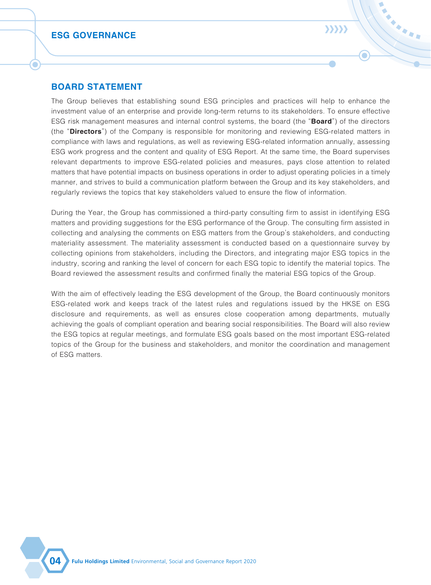### **OVERVIEW OF THE GROUP**

**EEEEE** 

The Group was established in 2009 and is a leading third-party digital goods and services platform operator in the PRC. We are committed to providing the most comprehensive and high-quality digital goods and services. In order to effectively connect with digital goods vendors, sales channels and consumers, the Group has established a Software as a Service (SaaS)<sup>1</sup> technology platform, Fulu Open Platform (福祿開放平台), which provides platform participants with a "one-stop" service. This innovative "Aggregation + Service" operation model has won the favor of thousands of partners. The Group's platform connects digital goods vendors with digital goods sales channels and provides them with "business to business" (B2B) digital goods-related services and value-added services, including (i) facilitating digital goods transactions between digital goods vendors and digital goods sales channels; and (ii) providing value-added services in a wide variety of industries (including leisure and entertainment, games, telecommunications and lifestyle services-related industries), such as operating online stores for digital goods vendors. We also facilitate the sale of various types of digital goods, such as membership cards, in-app or in-game virtual currencies, virtual cards, e-vouchers, membership benefits, in-game consumables or functions and data usage packages, to help them achieve their commercial objectives, such as traffic acquisition and monetisation.

The Group has always adhered to the values of "Unity, Simplicity, Responsibility, Progressiveness, Deep Learning, and Innovation". It pays attention to team goals, cooperates with integrity, provides professional and efficient services, and encourages personal development to become a dedicated and responsible professional. We also persevere in continuously breaking through the bottleneck, striving for perfection, and constantly creating value for customers. In addition, we provide a comfortable office environment and hold a variety of employee activities to attract and cultivate talents to achieve the corporate mission of "Establishing a virtual service ecosystem and providing the most comprehensive and high-quality services to the internet paying users".

Software as a Service (SaaS) is a software deployment model under which cloud providers licence software applications to users as a service.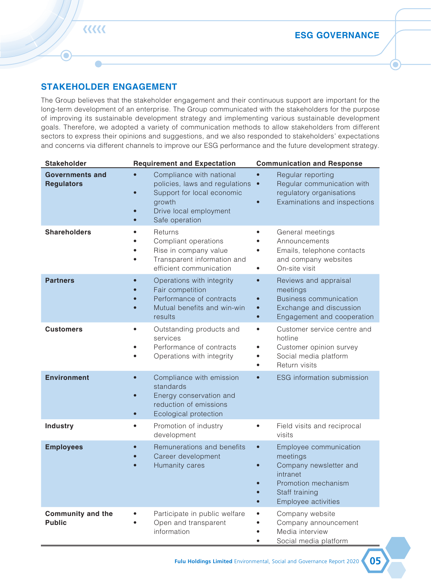### **BOARD STATEMENT**

The Group believes that establishing sound ESG principles and practices will help to enhance the investment value of an enterprise and provide long-term returns to its stakeholders. To ensure effective ESG risk management measures and internal control systems, the board (the "**Board**") of the directors (the "**Directors**") of the Company is responsible for monitoring and reviewing ESG-related matters in compliance with laws and regulations, as well as reviewing ESG-related information annually, assessing ESG work progress and the content and quality of ESG Report. At the same time, the Board supervises relevant departments to improve ESG-related policies and measures, pays close attention to related matters that have potential impacts on business operations in order to adjust operating policies in a timely manner, and strives to build a communication platform between the Group and its key stakeholders, and regularly reviews the topics that key stakeholders valued to ensure the flow of information.

**SARA** 

 $\sum$ 

During the Year, the Group has commissioned a third-party consulting firm to assist in identifying ESG matters and providing suggestions for the ESG performance of the Group. The consulting firm assisted in collecting and analysing the comments on ESG matters from the Group's stakeholders, and conducting materiality assessment. The materiality assessment is conducted based on a questionnaire survey by collecting opinions from stakeholders, including the Directors, and integrating major ESG topics in the industry, scoring and ranking the level of concern for each ESG topic to identify the material topics. The Board reviewed the assessment results and confirmed finally the material ESG topics of the Group.

With the aim of effectively leading the ESG development of the Group, the Board continuously monitors ESG-related work and keeps track of the latest rules and regulations issued by the HKSE on ESG disclosure and requirements, as well as ensures close cooperation among departments, mutually achieving the goals of compliant operation and bearing social responsibilities. The Board will also review the ESG topics at regular meetings, and formulate ESG goals based on the most important ESG-related topics of the Group for the business and stakeholders, and monitor the coordination and management of ESG matters.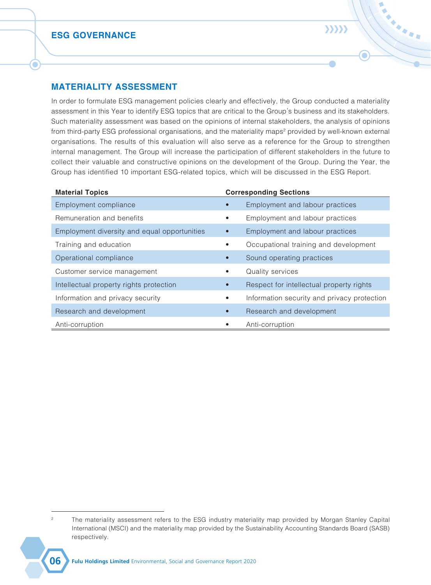$\bullet$ 

### **STAKEHOLDER ENGAGEMENT**

The Group believes that the stakeholder engagement and their continuous support are important for the long-term development of an enterprise. The Group communicated with the stakeholders for the purpose of improving its sustainable development strategy and implementing various sustainable development goals. Therefore, we adopted a variety of communication methods to allow stakeholders from different sectors to express their opinions and suggestions, and we also responded to stakeholders' expectations and concerns via different channels to improve our ESG performance and the future development strategy.

| <b>Stakeholder</b>                          | <b>Requirement and Expectation</b>                                                                                                               | <b>Communication and Response</b>                                                                                                                                                            |
|---------------------------------------------|--------------------------------------------------------------------------------------------------------------------------------------------------|----------------------------------------------------------------------------------------------------------------------------------------------------------------------------------------------|
| <b>Governments and</b><br><b>Regulators</b> | Compliance with national<br>policies, laws and regulations •<br>Support for local economic<br>growth<br>Drive local employment<br>Safe operation | Regular reporting<br>$\bullet$<br>Regular communication with<br>regulatory organisations<br>Examinations and inspections<br>$\bullet$                                                        |
| <b>Shareholders</b>                         | Returns<br>Compliant operations<br>Rise in company value<br>Transparent information and<br>efficient communication                               | General meetings<br>$\bullet$<br>Announcements<br>Emails, telephone contacts<br>$\bullet$<br>and company websites<br>On-site visit<br>$\bullet$                                              |
| <b>Partners</b>                             | Operations with integrity<br>Fair competition<br>Performance of contracts<br>Mutual benefits and win-win<br>results                              | Reviews and appraisal<br>$\bullet$<br>meetings<br><b>Business communication</b><br>$\bullet$<br>Exchange and discussion<br>$\bullet$<br>Engagement and cooperation<br>$\bullet$              |
| <b>Customers</b>                            | Outstanding products and<br>services<br>Performance of contracts<br>Operations with integrity                                                    | Customer service centre and<br>$\bullet$<br>hotline<br>Customer opinion survey<br>$\bullet$<br>Social media platform<br>$\bullet$<br>Return visits<br>$\bullet$                              |
| <b>Environment</b>                          | Compliance with emission<br>standards<br>Energy conservation and<br>reduction of emissions<br>Ecological protection<br>$\bullet$                 | ESG information submission<br>$\bullet$                                                                                                                                                      |
| <b>Industry</b>                             | Promotion of industry<br>$\bullet$<br>development                                                                                                | Field visits and reciprocal<br>$\bullet$<br>visits                                                                                                                                           |
| <b>Employees</b>                            | Remunerations and benefits<br>Career development<br>Humanity cares                                                                               | Employee communication<br>$\bullet$<br>meetings<br>Company newsletter and<br>$\bullet$<br>intranet<br>Promotion mechanism<br>Staff training<br>$\bullet$<br>Employee activities<br>$\bullet$ |
| <b>Community and the</b><br><b>Public</b>   | Participate in public welfare<br>Open and transparent<br>information                                                                             | Company website<br>$\bullet$<br>Company announcement<br>٠<br>Media interview<br>٠<br>Social media platform<br>$\bullet$                                                                      |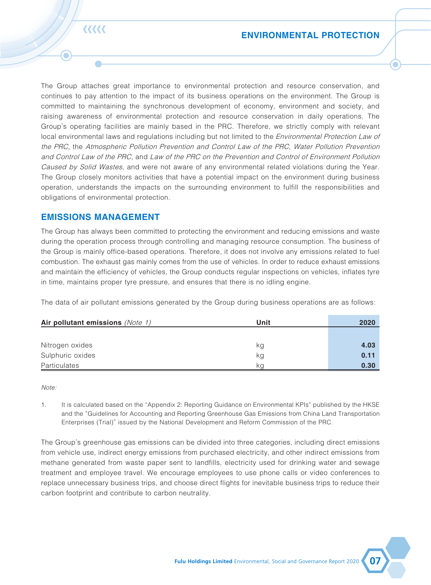$\bullet$ 

HARD A

### **MATERIALITY ASSESSMENT**

In order to formulate ESG management policies clearly and effectively, the Group conducted a materiality assessment in this Year to identify ESG topics that are critical to the Group's business and its stakeholders. Such materiality assessment was based on the opinions of internal stakeholders, the analysis of opinions from third-party ESG professional organisations, and the materiality maps<sup>2</sup> provided by well-known external organisations. The results of this evaluation will also serve as a reference for the Group to strengthen internal management. The Group will increase the participation of different stakeholders in the future to collect their valuable and constructive opinions on the development of the Group. During the Year, the Group has identified 10 important ESG-related topics, which will be discussed in the ESG Report.

| <b>Material Topics</b>                       |           | <b>Corresponding Sections</b>               |  |
|----------------------------------------------|-----------|---------------------------------------------|--|
| Employment compliance                        |           | Employment and labour practices             |  |
| Remuneration and benefits                    | $\bullet$ | Employment and labour practices             |  |
| Employment diversity and equal opportunities | $\bullet$ | Employment and labour practices             |  |
| Training and education                       | $\bullet$ | Occupational training and development       |  |
| Operational compliance                       |           | Sound operating practices                   |  |
| Customer service management                  | $\bullet$ | Quality services                            |  |
| Intellectual property rights protection      | $\bullet$ | Respect for intellectual property rights    |  |
| Information and privacy security             | $\bullet$ | Information security and privacy protection |  |
| Research and development                     | $\bullet$ | Research and development                    |  |
| Anti-corruption                              |           | Anti-corruption                             |  |

<sup>&</sup>lt;sup>2</sup> The materiality assessment refers to the ESG industry materiality map provided by Morgan Stanley Capital International (MSCI) and the materiality map provided by the Sustainability Accounting Standards Board (SASB) respectively.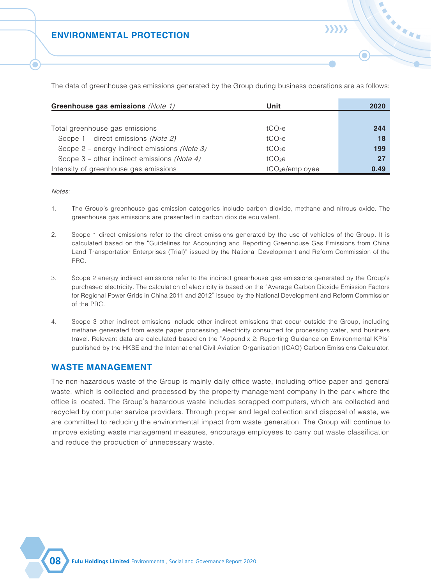The Group attaches great importance to environmental protection and resource conservation, and continues to pay attention to the impact of its business operations on the environment. The Group is committed to maintaining the synchronous development of economy, environment and society, and raising awareness of environmental protection and resource conservation in daily operations. The Group's operating facilities are mainly based in the PRC. Therefore, we strictly comply with relevant local environmental laws and regulations including but not limited to the *Environmental Protection Law of* the PRC, the Atmospheric Pollution Prevention and Control Law of the PRC, Water Pollution Prevention and Control Law of the PRC, and Law of the PRC on the Prevention and Control of Environment Pollution Caused by Solid Wastes, and were not aware of any environmental related violations during the Year. The Group closely monitors activities that have a potential impact on the environment during business operation, understands the impacts on the surrounding environment to fulfill the responsibilities and obligations of environmental protection.

### **EMISSIONS MANAGEMENT**

The Group has always been committed to protecting the environment and reducing emissions and waste during the operation process through controlling and managing resource consumption. The business of the Group is mainly office-based operations. Therefore, it does not involve any emissions related to fuel combustion. The exhaust gas mainly comes from the use of vehicles. In order to reduce exhaust emissions and maintain the efficiency of vehicles, the Group conducts regular inspections on vehicles, inflates tyre in time, maintains proper tyre pressure, and ensures that there is no idling engine.

The data of air pollutant emissions generated by the Group during business operations are as follows:

| Air pollutant emissions (Note 1) | Unit | 2020 |
|----------------------------------|------|------|
|                                  |      |      |
| Nitrogen oxides                  | kg   | 4.03 |
| Sulphuric oxides                 | kg   | 0.11 |
| <b>Particulates</b>              | ka   | 0.30 |

Note:

1. It is calculated based on the "Appendix 2: Reporting Guidance on Environmental KPIs" published by the HKSE and the "Guidelines for Accounting and Reporting Greenhouse Gas Emissions from China Land Transportation Enterprises (Trial)" issued by the National Development and Reform Commission of the PRC.

The Group's greenhouse gas emissions can be divided into three categories, including direct emissions from vehicle use, indirect energy emissions from purchased electricity, and other indirect emissions from methane generated from waste paper sent to landfills, electricity used for drinking water and sewage treatment and employee travel. We encourage employees to use phone calls or video conferences to replace unnecessary business trips, and choose direct flights for inevitable business trips to reduce their carbon footprint and contribute to carbon neutrality.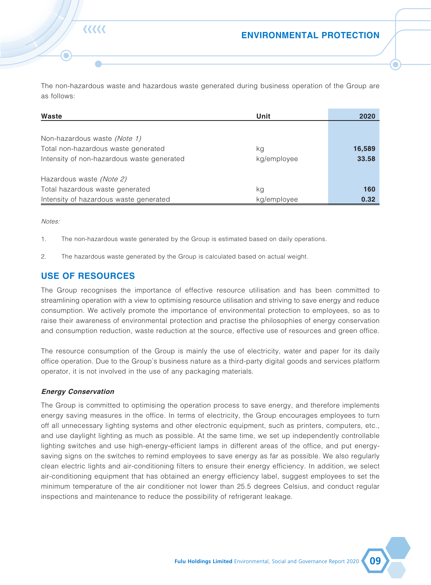### **ENVIRONMENTAL PROTECTION**

**Greenhouse gas emissions** (Note 1) **Unit 2020** Total greenhouse gas emissions take the second term of the second term of the second term of the second term of the second term of the second term of the second term of the second term of the second term of the second term Scope 1 – direct emissions *(Note 2)* tCO<sub>2</sub>e tCO<sub>2</sub>e **18** Scope 2 – energy indirect emissions (Note 3) tCO<sub>2</sub>e tCO<sub>2</sub>e **199** 

Scope 3 – other indirect emissions *(Note 4)* tCO<sub>2</sub>e **27** Intensity of greenhouse gas emissions tCO<sub>2e</sub>/employee **0.49** 

The data of greenhouse gas emissions generated by the Group during business operations are as follows:

Notes:

- 1. The Group's greenhouse gas emission categories include carbon dioxide, methane and nitrous oxide. The greenhouse gas emissions are presented in carbon dioxide equivalent.
- 2. Scope 1 direct emissions refer to the direct emissions generated by the use of vehicles of the Group. It is calculated based on the "Guidelines for Accounting and Reporting Greenhouse Gas Emissions from China Land Transportation Enterprises (Trial)" issued by the National Development and Reform Commission of the PRC.
- 3. Scope 2 energy indirect emissions refer to the indirect greenhouse gas emissions generated by the Group's purchased electricity. The calculation of electricity is based on the "Average Carbon Dioxide Emission Factors for Regional Power Grids in China 2011 and 2012" issued by the National Development and Reform Commission of the PRC.
- 4. Scope 3 other indirect emissions include other indirect emissions that occur outside the Group, including methane generated from waste paper processing, electricity consumed for processing water, and business travel. Relevant data are calculated based on the "Appendix 2: Reporting Guidance on Environmental KPIs" published by the HKSE and the International Civil Aviation Organisation (ICAO) Carbon Emissions Calculator.

### **WASTE MANAGEMENT**

The non-hazardous waste of the Group is mainly daily office waste, including office paper and general waste, which is collected and processed by the property management company in the park where the office is located. The Group's hazardous waste includes scrapped computers, which are collected and recycled by computer service providers. Through proper and legal collection and disposal of waste, we are committed to reducing the environmental impact from waste generation. The Group will continue to improve existing waste management measures, encourage employees to carry out waste classification and reduce the production of unnecessary waste.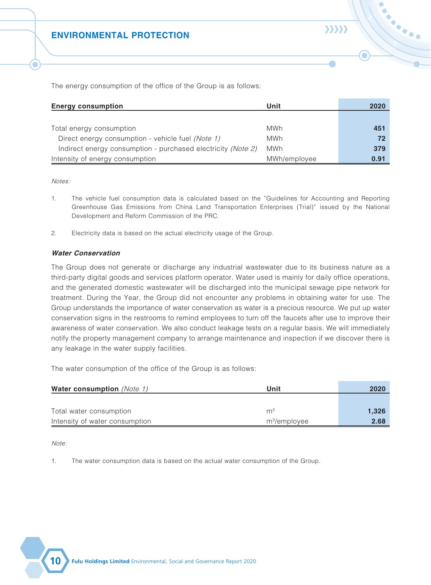### **ENVIRONMENTAL PROTECTION**

The non-hazardous waste and hazardous waste generated during business operation of the Group are as follows:

| Waste                                      | <b>Unit</b> | 2020   |
|--------------------------------------------|-------------|--------|
|                                            |             |        |
| Non-hazardous waste (Note 1)               |             |        |
| Total non-hazardous waste generated        | kg          | 16,589 |
| Intensity of non-hazardous waste generated | kg/employee | 33.58  |
|                                            |             |        |
| Hazardous waste (Note 2)                   |             |        |
| Total hazardous waste generated            | kg          | 160    |
| Intensity of hazardous waste generated     | kg/employee | 0.32   |

Notes:

1. The non-hazardous waste generated by the Group is estimated based on daily operations.

2. The hazardous waste generated by the Group is calculated based on actual weight.

### **USE OF RESOURCES**

रररर

The Group recognises the importance of effective resource utilisation and has been committed to streamlining operation with a view to optimising resource utilisation and striving to save energy and reduce consumption. We actively promote the importance of environmental protection to employees, so as to raise their awareness of environmental protection and practise the philosophies of energy conservation and consumption reduction, waste reduction at the source, effective use of resources and green office.

The resource consumption of the Group is mainly the use of electricity, water and paper for its daily office operation. Due to the Group's business nature as a third-party digital goods and services platform operator, it is not involved in the use of any packaging materials.

#### **Energy Conservation**

The Group is committed to optimising the operation process to save energy, and therefore implements energy saving measures in the office. In terms of electricity, the Group encourages employees to turn off all unnecessary lighting systems and other electronic equipment, such as printers, computers, etc., and use daylight lighting as much as possible. At the same time, we set up independently controllable lighting switches and use high-energy-efficient lamps in different areas of the office, and put energysaving signs on the switches to remind employees to save energy as far as possible. We also regularly clean electric lights and air-conditioning filters to ensure their energy efficiency. In addition, we select air-conditioning equipment that has obtained an energy efficiency label, suggest employees to set the minimum temperature of the air conditioner not lower than 25.5 degrees Celsius, and conduct regular inspections and maintenance to reduce the possibility of refrigerant leakage.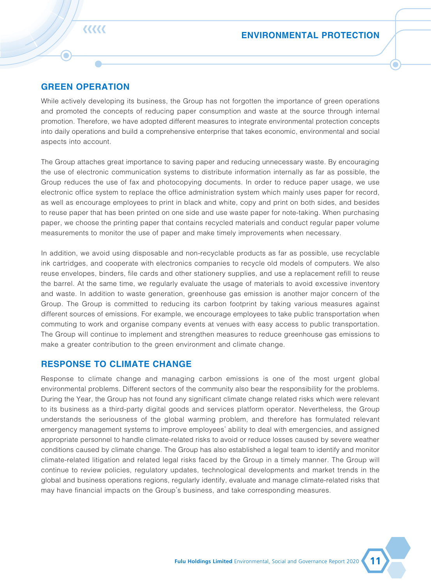The energy consumption of the office of the Group is as follows:

| <b>Energy consumption</b>                                    | Unit         | 2020 |
|--------------------------------------------------------------|--------------|------|
|                                                              |              |      |
| Total energy consumption                                     | MWh          | 451  |
| Direct energy consumption - vehicle fuel (Note 1)            | MWh          | 72   |
| Indirect energy consumption - purchased electricity (Note 2) | MWh          | 379  |
| Intensity of energy consumption                              | MWh/employee | 0.91 |

Notes:

- 1. The vehicle fuel consumption data is calculated based on the "Guidelines for Accounting and Reporting Greenhouse Gas Emissions from China Land Transportation Enterprises (Trial)" issued by the National Development and Reform Commission of the PRC.
- 2. Electricity data is based on the actual electricity usage of the Group.

#### **Water Conservation**

The Group does not generate or discharge any industrial wastewater due to its business nature as a third-party digital goods and services platform operator. Water used is mainly for daily office operations, and the generated domestic wastewater will be discharged into the municipal sewage pipe network for treatment. During the Year, the Group did not encounter any problems in obtaining water for use. The Group understands the importance of water conservation as water is a precious resource. We put up water conservation signs in the restrooms to remind employees to turn off the faucets after use to improve their awareness of water conservation. We also conduct leakage tests on a regular basis. We will immediately notify the property management company to arrange maintenance and inspection if we discover there is any leakage in the water supply facilities.

The water consumption of the office of the Group is as follows:

| <b>Water consumption</b> (Note 1) | Unit            | 2020  |  |
|-----------------------------------|-----------------|-------|--|
|                                   |                 |       |  |
| Total water consumption           | m               | 1,326 |  |
| Intensity of water consumption    | $m^3$ /employee | 2.68  |  |

Note:

1. The water consumption data is based on the actual water consumption of the Group.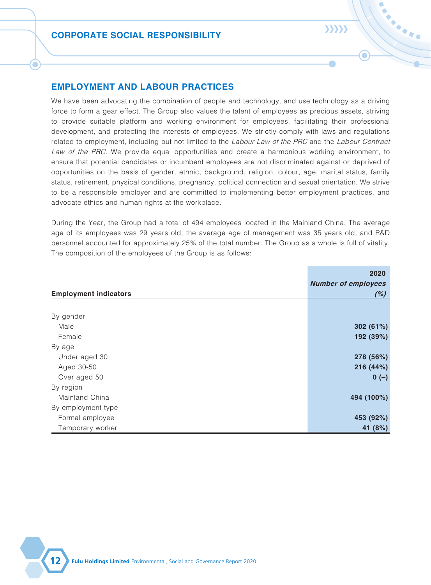# रररर

### **GREEN OPERATION**

n

While actively developing its business, the Group has not forgotten the importance of green operations and promoted the concepts of reducing paper consumption and waste at the source through internal promotion. Therefore, we have adopted different measures to integrate environmental protection concepts into daily operations and build a comprehensive enterprise that takes economic, environmental and social aspects into account.

The Group attaches great importance to saving paper and reducing unnecessary waste. By encouraging the use of electronic communication systems to distribute information internally as far as possible, the Group reduces the use of fax and photocopying documents. In order to reduce paper usage, we use electronic office system to replace the office administration system which mainly uses paper for record, as well as encourage employees to print in black and white, copy and print on both sides, and besides to reuse paper that has been printed on one side and use waste paper for note-taking. When purchasing paper, we choose the printing paper that contains recycled materials and conduct regular paper volume measurements to monitor the use of paper and make timely improvements when necessary.

In addition, we avoid using disposable and non-recyclable products as far as possible, use recyclable ink cartridges, and cooperate with electronics companies to recycle old models of computers. We also reuse envelopes, binders, file cards and other stationery supplies, and use a replacement refill to reuse the barrel. At the same time, we regularly evaluate the usage of materials to avoid excessive inventory and waste. In addition to waste generation, greenhouse gas emission is another major concern of the Group. The Group is committed to reducing its carbon footprint by taking various measures against different sources of emissions. For example, we encourage employees to take public transportation when commuting to work and organise company events at venues with easy access to public transportation. The Group will continue to implement and strengthen measures to reduce greenhouse gas emissions to make a greater contribution to the green environment and climate change.

### **RESPONSE TO CLIMATE CHANGE**

Response to climate change and managing carbon emissions is one of the most urgent global environmental problems. Different sectors of the community also bear the responsibility for the problems. During the Year, the Group has not found any significant climate change related risks which were relevant to its business as a third-party digital goods and services platform operator. Nevertheless, the Group understands the seriousness of the global warming problem, and therefore has formulated relevant emergency management systems to improve employees' ability to deal with emergencies, and assigned appropriate personnel to handle climate-related risks to avoid or reduce losses caused by severe weather conditions caused by climate change. The Group has also established a legal team to identify and monitor climate-related litigation and related legal risks faced by the Group in a timely manner. The Group will continue to review policies, regulatory updates, technological developments and market trends in the global and business operations regions, regularly identify, evaluate and manage climate-related risks that may have financial impacts on the Group's business, and take corresponding measures.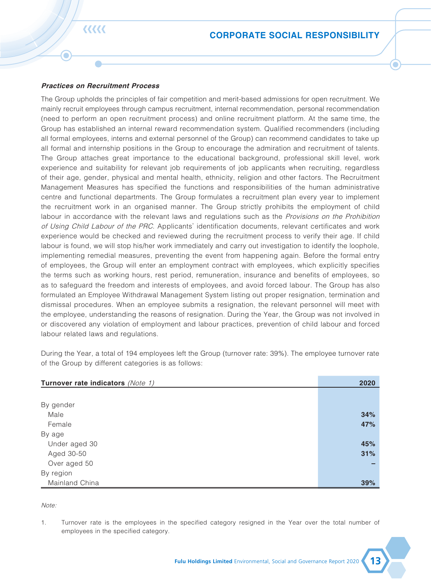### **EMPLOYMENT AND LABOUR PRACTICES**

We have been advocating the combination of people and technology, and use technology as a driving force to form a gear effect. The Group also values the talent of employees as precious assets, striving to provide suitable platform and working environment for employees, facilitating their professional development, and protecting the interests of employees. We strictly comply with laws and regulations related to employment, including but not limited to the Labour Law of the PRC and the Labour Contract Law of the PRC. We provide equal opportunities and create a harmonious working environment, to ensure that potential candidates or incumbent employees are not discriminated against or deprived of opportunities on the basis of gender, ethnic, background, religion, colour, age, marital status, family status, retirement, physical conditions, pregnancy, political connection and sexual orientation. We strive to be a responsible employer and are committed to implementing better employment practices, and advocate ethics and human rights at the workplace.

 $\sum$ 

During the Year, the Group had a total of 494 employees located in the Mainland China. The average age of its employees was 29 years old, the average age of management was 35 years old, and R&D personnel accounted for approximately 25% of the total number. The Group as a whole is full of vitality. The composition of the employees of the Group is as follows:

|                              | 2020<br><b>Number of employees</b> |
|------------------------------|------------------------------------|
| <b>Employment indicators</b> | (%)                                |
|                              |                                    |
| By gender                    |                                    |
| Male                         | 302 $(61%)$                        |
| Female                       | 192 (39%)                          |
| By age                       |                                    |
| Under aged 30                | 278 (56%)                          |
| Aged 30-50                   | 216 (44%)                          |
| Over aged 50                 | $0 (-)$                            |
| By region                    |                                    |
| Mainland China               | 494 (100%)                         |
| By employment type           |                                    |
| Formal employee              | 453 (92%)                          |
| Temporary worker             | 41 (8%)                            |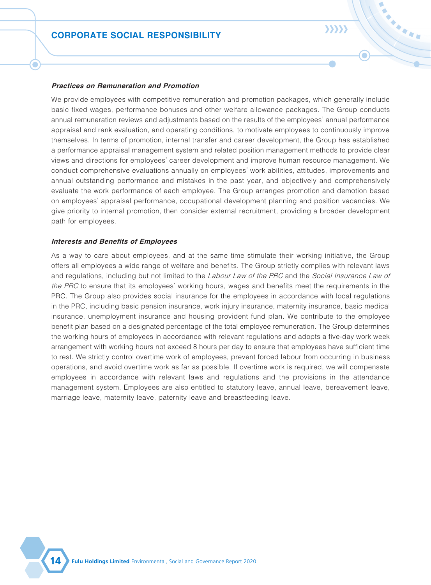#### **Practices on Recruitment Process**

रररर

The Group upholds the principles of fair competition and merit-based admissions for open recruitment. We mainly recruit employees through campus recruitment, internal recommendation, personal recommendation (need to perform an open recruitment process) and online recruitment platform. At the same time, the Group has established an internal reward recommendation system. Qualified recommenders (including all formal employees, interns and external personnel of the Group) can recommend candidates to take up all formal and internship positions in the Group to encourage the admiration and recruitment of talents. The Group attaches great importance to the educational background, professional skill level, work experience and suitability for relevant job requirements of job applicants when recruiting, regardless of their age, gender, physical and mental health, ethnicity, religion and other factors. The Recruitment Management Measures has specified the functions and responsibilities of the human administrative centre and functional departments. The Group formulates a recruitment plan every year to implement the recruitment work in an organised manner. The Group strictly prohibits the employment of child labour in accordance with the relevant laws and regulations such as the Provisions on the Prohibition of Using Child Labour of the PRC. Applicants' identification documents, relevant certificates and work experience would be checked and reviewed during the recruitment process to verify their age. If child labour is found, we will stop his/her work immediately and carry out investigation to identify the loophole, implementing remedial measures, preventing the event from happening again. Before the formal entry of employees, the Group will enter an employment contract with employees, which explicitly specifies the terms such as working hours, rest period, remuneration, insurance and benefits of employees, so as to safeguard the freedom and interests of employees, and avoid forced labour. The Group has also formulated an Employee Withdrawal Management System listing out proper resignation, termination and dismissal procedures. When an employee submits a resignation, the relevant personnel will meet with the employee, understanding the reasons of resignation. During the Year, the Group was not involved in or discovered any violation of employment and labour practices, prevention of child labour and forced labour related laws and regulations.

During the Year, a total of 194 employees left the Group (turnover rate: 39%). The employee turnover rate of the Group by different categories is as follows:

| Turnover rate indicators (Note 1) | 2020 |
|-----------------------------------|------|
|                                   |      |
| By gender                         |      |
| Male                              | 34%  |
| Female                            | 47%  |
| By age                            |      |
| Under aged 30                     | 45%  |
| Aged 30-50                        | 31%  |
| Over aged 50                      |      |
| By region                         |      |
| Mainland China                    | 39%  |

Note:

1. Turnover rate is the employees in the specified category resigned in the Year over the total number of employees in the specified category.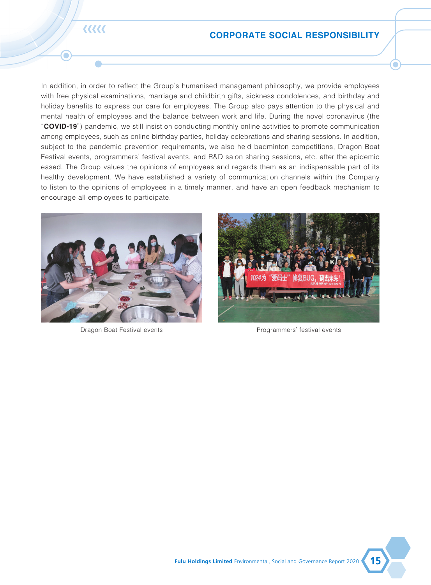#### **Practices on Remuneration and Promotion**

We provide employees with competitive remuneration and promotion packages, which generally include basic fixed wages, performance bonuses and other welfare allowance packages. The Group conducts annual remuneration reviews and adjustments based on the results of the employees' annual performance appraisal and rank evaluation, and operating conditions, to motivate employees to continuously improve themselves. In terms of promotion, internal transfer and career development, the Group has established a performance appraisal management system and related position management methods to provide clear views and directions for employees' career development and improve human resource management. We conduct comprehensive evaluations annually on employees' work abilities, attitudes, improvements and annual outstanding performance and mistakes in the past year, and objectively and comprehensively evaluate the work performance of each employee. The Group arranges promotion and demotion based on employees' appraisal performance, occupational development planning and position vacancies. We give priority to internal promotion, then consider external recruitment, providing a broader development path for employees.

 $\sum$ 

#### **Interests and Benefits of Employees**

As a way to care about employees, and at the same time stimulate their working initiative, the Group offers all employees a wide range of welfare and benefits. The Group strictly complies with relevant laws and regulations, including but not limited to the Labour Law of the PRC and the Social Insurance Law of the PRC to ensure that its employees' working hours, wages and benefits meet the requirements in the PRC. The Group also provides social insurance for the employees in accordance with local regulations in the PRC, including basic pension insurance, work injury insurance, maternity insurance, basic medical insurance, unemployment insurance and housing provident fund plan. We contribute to the employee benefit plan based on a designated percentage of the total employee remuneration. The Group determines the working hours of employees in accordance with relevant regulations and adopts a five-day work week arrangement with working hours not exceed 8 hours per day to ensure that employees have sufficient time to rest. We strictly control overtime work of employees, prevent forced labour from occurring in business operations, and avoid overtime work as far as possible. If overtime work is required, we will compensate employees in accordance with relevant laws and regulations and the provisions in the attendance management system. Employees are also entitled to statutory leave, annual leave, bereavement leave, marriage leave, maternity leave, paternity leave and breastfeeding leave.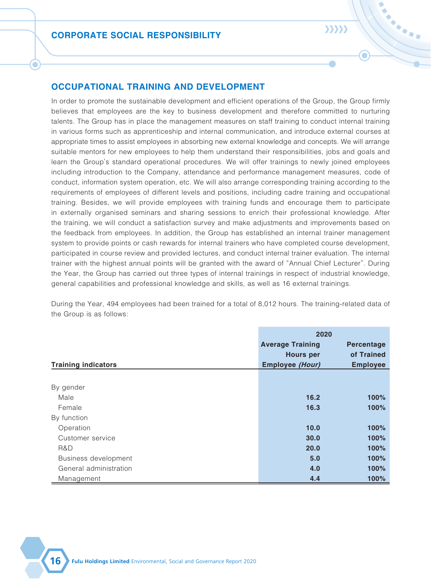### **CORPORATE SOCIAL RESPONSIBILITY**

**くくくくく** 

n

In addition, in order to reflect the Group's humanised management philosophy, we provide employees with free physical examinations, marriage and childbirth gifts, sickness condolences, and birthday and holiday benefits to express our care for employees. The Group also pays attention to the physical and mental health of employees and the balance between work and life. During the novel coronavirus (the "**COVID-19**") pandemic, we still insist on conducting monthly online activities to promote communication among employees, such as online birthday parties, holiday celebrations and sharing sessions. In addition, subject to the pandemic prevention requirements, we also held badminton competitions, Dragon Boat Festival events, programmers' festival events, and R&D salon sharing sessions, etc. after the epidemic eased. The Group values the opinions of employees and regards them as an indispensable part of its healthy development. We have established a variety of communication channels within the Company to listen to the opinions of employees in a timely manner, and have an open feedback mechanism to encourage all employees to participate.





Dragon Boat Festival events Programmers' festival events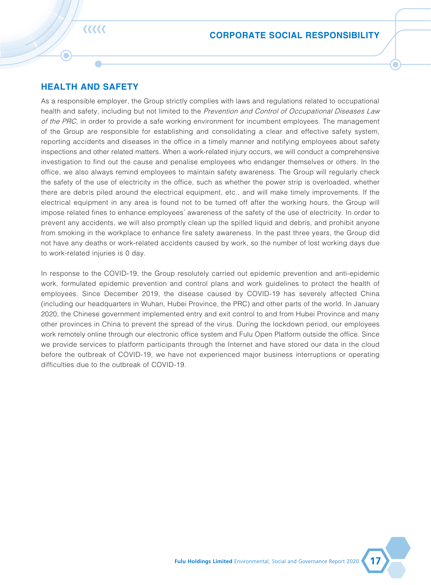### $\sum$

### **OCCUPATIONAL TRAINING AND DEVELOPMENT**

In order to promote the sustainable development and efficient operations of the Group, the Group firmly believes that employees are the key to business development and therefore committed to nurturing talents. The Group has in place the management measures on staff training to conduct internal training in various forms such as apprenticeship and internal communication, and introduce external courses at appropriate times to assist employees in absorbing new external knowledge and concepts. We will arrange suitable mentors for new employees to help them understand their responsibilities, jobs and goals and learn the Group's standard operational procedures. We will offer trainings to newly joined employees including introduction to the Company, attendance and performance management measures, code of conduct, information system operation, etc. We will also arrange corresponding training according to the requirements of employees of different levels and positions, including cadre training and occupational training. Besides, we will provide employees with training funds and encourage them to participate in externally organised seminars and sharing sessions to enrich their professional knowledge. After the training, we will conduct a satisfaction survey and make adjustments and improvements based on the feedback from employees. In addition, the Group has established an internal trainer management system to provide points or cash rewards for internal trainers who have completed course development, participated in course review and provided lectures, and conduct internal trainer evaluation. The internal trainer with the highest annual points will be granted with the award of "Annual Chief Lecturer". During the Year, the Group has carried out three types of internal trainings in respect of industrial knowledge, general capabilities and professional knowledge and skills, as well as 16 external trainings.

During the Year, 494 employees had been trained for a total of 8,012 hours. The training-related data of the Group is as follows:

|                            | 2020                    |                 |
|----------------------------|-------------------------|-----------------|
|                            | <b>Average Training</b> | Percentage      |
|                            | <b>Hours per</b>        | of Trained      |
| <b>Training indicators</b> | <b>Employee (Hour)</b>  | <b>Employee</b> |
|                            |                         |                 |
| By gender                  |                         |                 |
| Male                       | 16.2                    | 100%            |
| Female                     | 16.3                    | 100%            |
| By function                |                         |                 |
| Operation                  | 10.0                    | 100%            |
| Customer service           | 30.0                    | 100%            |
| R&D                        | 20.0                    | 100%            |
| Business development       | 5.0                     | 100%            |
| General administration     | 4.0                     | 100%            |
| Management                 | 4.4                     | 100%            |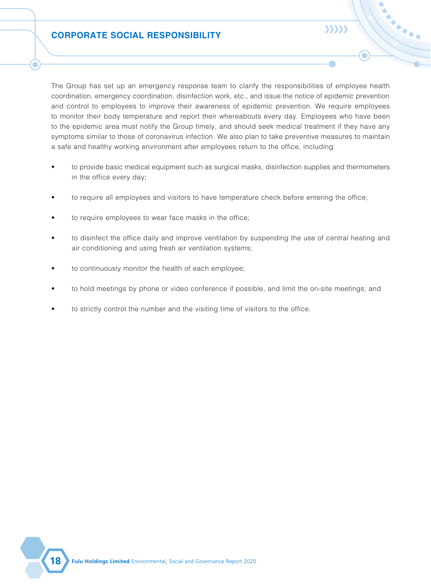# रररर

n

### **HEALTH AND SAFETY**

As a responsible employer, the Group strictly complies with laws and regulations related to occupational health and safety, including but not limited to the Prevention and Control of Occupational Diseases Law of the PRC, in order to provide a safe working environment for incumbent employees. The management of the Group are responsible for establishing and consolidating a clear and effective safety system, reporting accidents and diseases in the office in a timely manner and notifying employees about safety inspections and other related matters. When a work-related injury occurs, we will conduct a comprehensive investigation to find out the cause and penalise employees who endanger themselves or others. In the office, we also always remind employees to maintain safety awareness. The Group will regularly check the safety of the use of electricity in the office, such as whether the power strip is overloaded, whether there are debris piled around the electrical equipment, etc., and will make timely improvements. If the electrical equipment in any area is found not to be turned off after the working hours, the Group will impose related fines to enhance employees' awareness of the safety of the use of electricity. In order to prevent any accidents, we will also promptly clean up the spilled liquid and debris, and prohibit anyone from smoking in the workplace to enhance fire safety awareness. In the past three years, the Group did not have any deaths or work-related accidents caused by work, so the number of lost working days due to work-related injuries is 0 day.

In response to the COVID-19, the Group resolutely carried out epidemic prevention and anti-epidemic work, formulated epidemic prevention and control plans and work guidelines to protect the health of employees. Since December 2019, the disease caused by COVID-19 has severely affected China (including our headquarters in Wuhan, Hubei Province, the PRC) and other parts of the world. In January 2020, the Chinese government implemented entry and exit control to and from Hubei Province and many other provinces in China to prevent the spread of the virus. During the lockdown period, our employees work remotely online through our electronic office system and Fulu Open Platform outside the office. Since we provide services to platform participants through the Internet and have stored our data in the cloud before the outbreak of COVID-19, we have not experienced major business interruptions or operating difficulties due to the outbreak of COVID-19.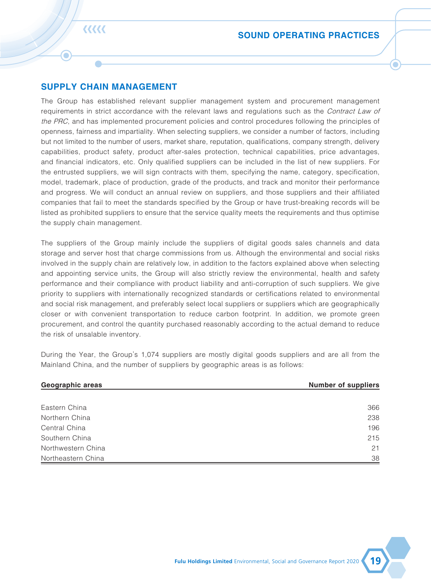The Group has set up an emergency response team to clarify the responsibilities of employee health coordination, emergency coordination, disinfection work, etc., and issue the notice of epidemic prevention and control to employees to improve their awareness of epidemic prevention. We require employees to monitor their body temperature and report their whereabouts every day. Employees who have been to the epidemic area must notify the Group timely, and should seek medical treatment if they have any symptoms similar to those of coronavirus infection. We also plan to take preventive measures to maintain a safe and healthy working environment after employees return to the office, including:

- to provide basic medical equipment such as surgical masks, disinfection supplies and thermometers in the office every day;
- to require all employees and visitors to have temperature check before entering the office;
- to require employees to wear face masks in the office:
- to disinfect the office daily and improve ventilation by suspending the use of central heating and air conditioning and using fresh air ventilation systems;
- to continuously monitor the health of each employee;
- to hold meetings by phone or video conference if possible, and limit the on-site meetings; and
- to strictly control the number and the visiting time of visitors to the office.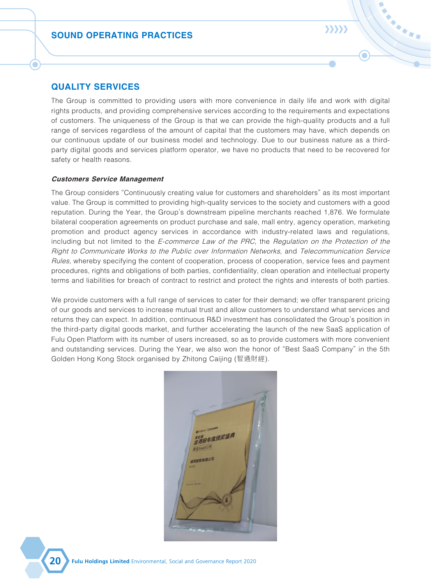### **SUPPLY CHAIN MANAGEMENT**

रररर

The Group has established relevant supplier management system and procurement management requirements in strict accordance with the relevant laws and regulations such as the Contract Law of the PRC, and has implemented procurement policies and control procedures following the principles of openness, fairness and impartiality. When selecting suppliers, we consider a number of factors, including but not limited to the number of users, market share, reputation, qualifications, company strength, delivery capabilities, product safety, product after-sales protection, technical capabilities, price advantages, and financial indicators, etc. Only qualified suppliers can be included in the list of new suppliers. For the entrusted suppliers, we will sign contracts with them, specifying the name, category, specification, model, trademark, place of production, grade of the products, and track and monitor their performance and progress. We will conduct an annual review on suppliers, and those suppliers and their affiliated companies that fail to meet the standards specified by the Group or have trust-breaking records will be listed as prohibited suppliers to ensure that the service quality meets the requirements and thus optimise the supply chain management.

The suppliers of the Group mainly include the suppliers of digital goods sales channels and data storage and server host that charge commissions from us. Although the environmental and social risks involved in the supply chain are relatively low, in addition to the factors explained above when selecting and appointing service units, the Group will also strictly review the environmental, health and safety performance and their compliance with product liability and anti-corruption of such suppliers. We give priority to suppliers with internationally recognized standards or certifications related to environmental and social risk management, and preferably select local suppliers or suppliers which are geographically closer or with convenient transportation to reduce carbon footprint. In addition, we promote green procurement, and control the quantity purchased reasonably according to the actual demand to reduce the risk of unsalable inventory.

During the Year, the Group's 1,074 suppliers are mostly digital goods suppliers and are all from the Mainland China, and the number of suppliers by geographic areas is as follows:

| Geographic areas   | <b>Number of suppliers</b> |
|--------------------|----------------------------|
|                    |                            |
| Eastern China      | 366                        |
| Northern China     | 238                        |
| Central China      | 196                        |
| Southern China     | 215                        |
| Northwestern China | 21                         |
| Northeastern China | 38                         |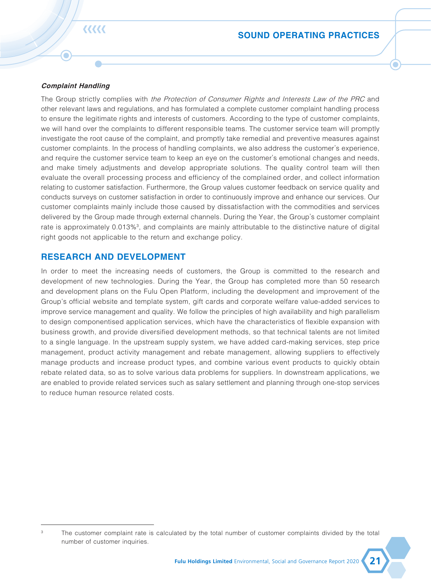### **QUALITY SERVICES**

The Group is committed to providing users with more convenience in daily life and work with digital rights products, and providing comprehensive services according to the requirements and expectations of customers. The uniqueness of the Group is that we can provide the high-quality products and a full range of services regardless of the amount of capital that the customers may have, which depends on our continuous update of our business model and technology. Due to our business nature as a thirdparty digital goods and services platform operator, we have no products that need to be recovered for safety or health reasons.

 $\sum$ 

#### **Customers Service Management**

The Group considers "Continuously creating value for customers and shareholders" as its most important value. The Group is committed to providing high-quality services to the society and customers with a good reputation. During the Year, the Group's downstream pipeline merchants reached 1,876. We formulate bilateral cooperation agreements on product purchase and sale, mall entry, agency operation, marketing promotion and product agency services in accordance with industry-related laws and regulations, including but not limited to the *E-commerce Law of the PRC*, the *Regulation on the Protection of the* Right to Communicate Works to the Public over Information Networks, and Telecommunication Service Rules, whereby specifying the content of cooperation, process of cooperation, service fees and payment procedures, rights and obligations of both parties, confidentiality, clean operation and intellectual property terms and liabilities for breach of contract to restrict and protect the rights and interests of both parties.

We provide customers with a full range of services to cater for their demand; we offer transparent pricing of our goods and services to increase mutual trust and allow customers to understand what services and returns they can expect. In addition, continuous R&D investment has consolidated the Group's position in the third-party digital goods market, and further accelerating the launch of the new SaaS application of Fulu Open Platform with its number of users increased, so as to provide customers with more convenient and outstanding services. During the Year, we also won the honor of "Best SaaS Company" in the 5th Golden Hong Kong Stock organised by Zhitong Caijing (智通財經).

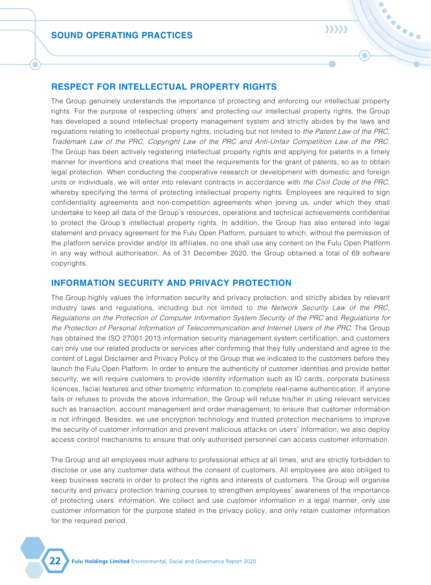रररर

### **SOUND OPERATING PRACTICES**

#### **Complaint Handling**

The Group strictly complies with the Protection of Consumer Rights and Interests Law of the PRC and other relevant laws and regulations, and has formulated a complete customer complaint handling process to ensure the legitimate rights and interests of customers. According to the type of customer complaints, we will hand over the complaints to different responsible teams. The customer service team will promptly investigate the root cause of the complaint, and promptly take remedial and preventive measures against customer complaints. In the process of handling complaints, we also address the customer's experience, and require the customer service team to keep an eye on the customer's emotional changes and needs, and make timely adjustments and develop appropriate solutions. The quality control team will then evaluate the overall processing process and efficiency of the complained order, and collect information relating to customer satisfaction. Furthermore, the Group values customer feedback on service quality and conducts surveys on customer satisfaction in order to continuously improve and enhance our services. Our customer complaints mainly include those caused by dissatisfaction with the commodities and services delivered by the Group made through external channels. During the Year, the Group's customer complaint rate is approximately 0.013%<sup>3</sup>, and complaints are mainly attributable to the distinctive nature of digital right goods not applicable to the return and exchange policy.

### **RESEARCH AND DEVELOPMENT**

In order to meet the increasing needs of customers, the Group is committed to the research and development of new technologies. During the Year, the Group has completed more than 50 research and development plans on the Fulu Open Platform, including the development and improvement of the Group's official website and template system, gift cards and corporate welfare value-added services to improve service management and quality. We follow the principles of high availability and high parallelism to design componentised application services, which have the characteristics of flexible expansion with business growth, and provide diversified development methods, so that technical talents are not limited to a single language. In the upstream supply system, we have added card-making services, step price management, product activity management and rebate management, allowing suppliers to effectively manage products and increase product types, and combine various event products to quickly obtain rebate related data, so as to solve various data problems for suppliers. In downstream applications, we are enabled to provide related services such as salary settlement and planning through one-stop services to reduce human resource related costs.

The customer complaint rate is calculated by the total number of customer complaints divided by the total number of customer inquiries.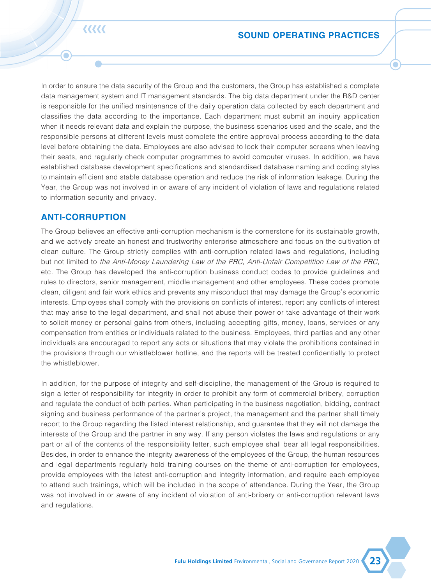## $\sum$

 $\bullet$ 

### **RESPECT FOR INTELLECTUAL PROPERTY RIGHTS**

The Group genuinely understands the importance of protecting and enforcing our intellectual property rights. For the purpose of respecting others' and protecting our intellectual property rights, the Group has developed a sound intellectual property management system and strictly abides by the laws and regulations relating to intellectual property rights, including but not limited to the Patent Law of the PRC, Trademark Law of the PRC, Copyright Law of the PRC and Anti-Unfair Competition Law of the PRC. The Group has been actively registering intellectual property rights and applying for patents in a timely manner for inventions and creations that meet the requirements for the grant of patents, so as to obtain legal protection. When conducting the cooperative research or development with domestic and foreign units or individuals, we will enter into relevant contracts in accordance with the Civil Code of the PRC, whereby specifying the terms of protecting intellectual property rights. Employees are required to sign confidentiality agreements and non-competition agreements when joining us, under which they shall undertake to keep all data of the Group's resources, operations and technical achievements confidential to protect the Group's intellectual property rights. In addition, the Group has also entered into legal statement and privacy agreement for the Fulu Open Platform, pursuant to which, without the permission of the platform service provider and/or its affiliates, no one shall use any content on the Fulu Open Platform in any way without authorisation. As of 31 December 2020, the Group obtained a total of 69 software copyrights.

### **INFORMATION SECURITY AND PRIVACY PROTECTION**

The Group highly values the information security and privacy protection, and strictly abides by relevant industry laws and regulations, including but not limited to the Network Security Law of the PRC, Regulations on the Protection of Computer Information System Security of the PRC and Regulations for the Protection of Personal Information of Telecommunication and Internet Users of the PRC. The Group has obtained the ISO 27001:2013 information security management system certification, and customers can only use our related products or services after confirming that they fully understand and agree to the content of Legal Disclaimer and Privacy Policy of the Group that we indicated to the customers before they launch the Fulu Open Platform. In order to ensure the authenticity of customer identities and provide better security, we will require customers to provide identity information such as ID cards, corporate business licences, facial features and other biometric information to complete real-name authentication. If anyone fails or refuses to provide the above information, the Group will refuse his/her in using relevant services such as transaction, account management and order management, to ensure that customer information is not infringed. Besides, we use encryption technology and trusted protection mechanisms to improve the security of customer information and prevent malicious attacks on users' information; we also deploy access control mechanisms to ensure that only authorised personnel can access customer information.

The Group and all employees must adhere to professional ethics at all times, and are strictly forbidden to disclose or use any customer data without the consent of customers. All employees are also obliged to keep business secrets in order to protect the rights and interests of customers. The Group will organise security and privacy protection training courses to strengthen employees' awareness of the importance of protecting users' information. We collect and use customer information in a legal manner, only use customer information for the purpose stated in the privacy policy, and only retain customer information for the required period.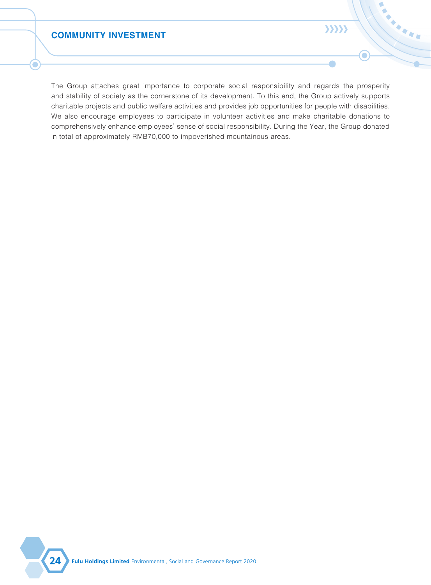**EEEEE** 

۰

In order to ensure the data security of the Group and the customers, the Group has established a complete data management system and IT management standards. The big data department under the R&D center is responsible for the unified maintenance of the daily operation data collected by each department and classifies the data according to the importance. Each department must submit an inquiry application when it needs relevant data and explain the purpose, the business scenarios used and the scale, and the responsible persons at different levels must complete the entire approval process according to the data level before obtaining the data. Employees are also advised to lock their computer screens when leaving their seats, and regularly check computer programmes to avoid computer viruses. In addition, we have established database development specifications and standardised database naming and coding styles to maintain efficient and stable database operation and reduce the risk of information leakage. During the Year, the Group was not involved in or aware of any incident of violation of laws and regulations related to information security and privacy.

### **ANTI-CORRUPTION**

The Group believes an effective anti-corruption mechanism is the cornerstone for its sustainable growth, and we actively create an honest and trustworthy enterprise atmosphere and focus on the cultivation of clean culture. The Group strictly complies with anti-corruption related laws and regulations, including but not limited to the Anti-Money Laundering Law of the PRC, Anti-Unfair Competition Law of the PRC, etc. The Group has developed the anti-corruption business conduct codes to provide guidelines and rules to directors, senior management, middle management and other employees. These codes promote clean, diligent and fair work ethics and prevents any misconduct that may damage the Group's economic interests. Employees shall comply with the provisions on conflicts of interest, report any conflicts of interest that may arise to the legal department, and shall not abuse their power or take advantage of their work to solicit money or personal gains from others, including accepting gifts, money, loans, services or any compensation from entities or individuals related to the business. Employees, third parties and any other individuals are encouraged to report any acts or situations that may violate the prohibitions contained in the provisions through our whistleblower hotline, and the reports will be treated confidentially to protect the whistleblower.

In addition, for the purpose of integrity and self-discipline, the management of the Group is required to sign a letter of responsibility for integrity in order to prohibit any form of commercial bribery, corruption and regulate the conduct of both parties. When participating in the business negotiation, bidding, contract signing and business performance of the partner's project, the management and the partner shall timely report to the Group regarding the listed interest relationship, and guarantee that they will not damage the interests of the Group and the partner in any way. If any person violates the laws and regulations or any part or all of the contents of the responsibility letter, such employee shall bear all legal responsibilities. Besides, in order to enhance the integrity awareness of the employees of the Group, the human resources and legal departments regularly hold training courses on the theme of anti-corruption for employees, provide employees with the latest anti-corruption and integrity information, and require each employee to attend such trainings, which will be included in the scope of attendance. During the Year, the Group was not involved in or aware of any incident of violation of anti-bribery or anti-corruption relevant laws and regulations.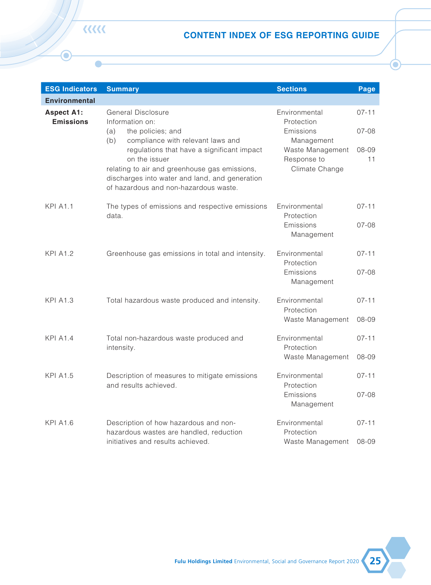### **COMMUNITY INVESTMENT**

Г

 $\langle \rangle \rangle \rangle$ 

 $\bigcirc$ 

HARA

The Group attaches great importance to corporate social responsibility and regards the prosperity and stability of society as the cornerstone of its development. To this end, the Group actively supports charitable projects and public welfare activities and provides job opportunities for people with disabilities. We also encourage employees to participate in volunteer activities and make charitable donations to comprehensively enhance employees' sense of social responsibility. During the Year, the Group donated in total of approximately RMB70,000 to impoverished mountainous areas.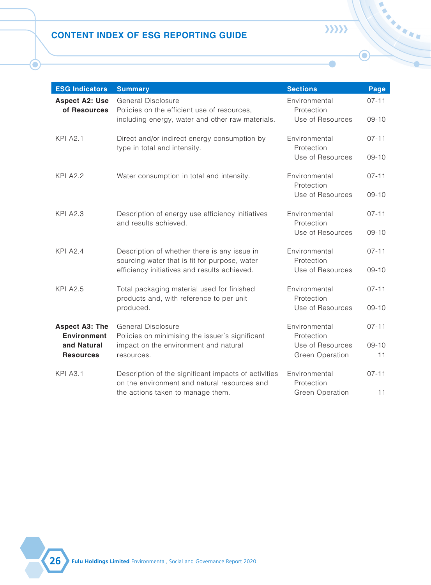٦

| <b>ESG Indicators</b>                 | <b>Summary</b>                                                                                                                                                                                                                                                                                                           | <b>Sections</b>                                                                                             | Page                                |
|---------------------------------------|--------------------------------------------------------------------------------------------------------------------------------------------------------------------------------------------------------------------------------------------------------------------------------------------------------------------------|-------------------------------------------------------------------------------------------------------------|-------------------------------------|
| <b>Environmental</b>                  |                                                                                                                                                                                                                                                                                                                          |                                                                                                             |                                     |
| <b>Aspect A1:</b><br><b>Emissions</b> | General Disclosure<br>Information on:<br>the policies; and<br>(a)<br>(b)<br>compliance with relevant laws and<br>regulations that have a significant impact<br>on the issuer<br>relating to air and greenhouse gas emissions,<br>discharges into water and land, and generation<br>of hazardous and non-hazardous waste. | Environmental<br>Protection<br>Emissions<br>Management<br>Waste Management<br>Response to<br>Climate Change | $07 - 11$<br>$07-08$<br>08-09<br>11 |
| <b>KPI A1.1</b>                       | The types of emissions and respective emissions<br>data.                                                                                                                                                                                                                                                                 | Environmental<br>Protection<br>Emissions<br>Management                                                      | $07 - 11$<br>07-08                  |
| <b>KPI A1.2</b>                       | Greenhouse gas emissions in total and intensity.                                                                                                                                                                                                                                                                         | Environmental<br>Protection<br>Emissions<br>Management                                                      | $07 - 11$<br>07-08                  |
| <b>KPI A1.3</b>                       | Total hazardous waste produced and intensity.                                                                                                                                                                                                                                                                            | Environmental<br>Protection<br>Waste Management                                                             | $07 - 11$<br>08-09                  |
| <b>KPI A1.4</b>                       | Total non-hazardous waste produced and<br>intensity.                                                                                                                                                                                                                                                                     | Environmental<br>Protection<br>Waste Management                                                             | $07 - 11$<br>08-09                  |
| <b>KPI A1.5</b>                       | Description of measures to mitigate emissions<br>and results achieved.                                                                                                                                                                                                                                                   | Environmental<br>Protection<br>Emissions<br>Management                                                      | $07 - 11$<br>07-08                  |
| <b>KPI A1.6</b>                       | Description of how hazardous and non-<br>hazardous wastes are handled, reduction<br>initiatives and results achieved.                                                                                                                                                                                                    | Environmental<br>Protection<br>Waste Management                                                             | $07 - 11$<br>08-09                  |

**KKK**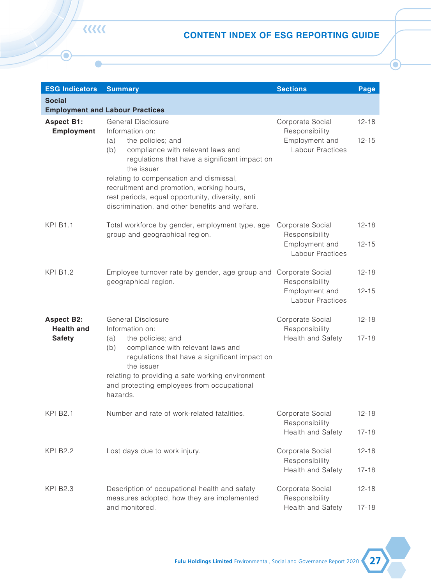O

 $\overline{\phantom{a}}$ 

| <b>ESG Indicators</b>                       | <b>Summary</b>                                                                                       | <b>Sections</b>                     | Page            |
|---------------------------------------------|------------------------------------------------------------------------------------------------------|-------------------------------------|-----------------|
| <b>Aspect A2: Use</b><br>of Resources       | General Disclosure<br>Policies on the efficient use of resources,                                    | Environmental<br>Protection         | $07 - 11$       |
|                                             | including energy, water and other raw materials.                                                     | Use of Resources                    | $09 - 10$       |
| <b>KPI A2.1</b>                             | Direct and/or indirect energy consumption by<br>type in total and intensity.                         | Environmental<br>Protection         | $07 - 11$       |
|                                             |                                                                                                      | Use of Resources                    | $09 - 10$       |
| <b>KPI A2.2</b>                             | Water consumption in total and intensity.                                                            | Environmental<br>Protection         | $07 - 11$       |
|                                             |                                                                                                      | Use of Resources                    | $09 - 10$       |
| <b>KPI A2.3</b>                             | Description of energy use efficiency initiatives<br>and results achieved.                            | Environmental<br>Protection         | $07 - 11$       |
|                                             |                                                                                                      | Use of Resources                    | $09 - 10$       |
| <b>KPI A2.4</b>                             | Description of whether there is any issue in<br>sourcing water that is fit for purpose, water        | Environmental<br>Protection         | $07 - 11$       |
|                                             | efficiency initiatives and results achieved.                                                         | Use of Resources                    | $09 - 10$       |
| <b>KPI A2.5</b>                             | Total packaging material used for finished<br>products and, with reference to per unit               | Environmental<br>Protection         | $07 - 11$       |
|                                             | produced.                                                                                            | Use of Resources                    | $09 - 10$       |
| <b>Aspect A3: The</b><br><b>Environment</b> | <b>General Disclosure</b><br>Policies on minimising the issuer's significant                         | Environmental<br>Protection         | $07 - 11$       |
| and Natural<br><b>Resources</b>             | impact on the environment and natural<br>resources.                                                  | Use of Resources<br>Green Operation | $09 - 10$<br>11 |
|                                             |                                                                                                      |                                     |                 |
| <b>KPI A3.1</b>                             | Description of the significant impacts of activities<br>on the environment and natural resources and | Environmental<br>Protection         | $07 - 11$       |
|                                             | the actions taken to manage them.                                                                    | Green Operation                     | 11              |

 $\rangle\rangle\rangle\rangle$ 

 $\bullet$ 

 $\mathbf{\Theta}$ 

**26 Fulu Holdings Limited** Environmental, Social and Governance Report 2020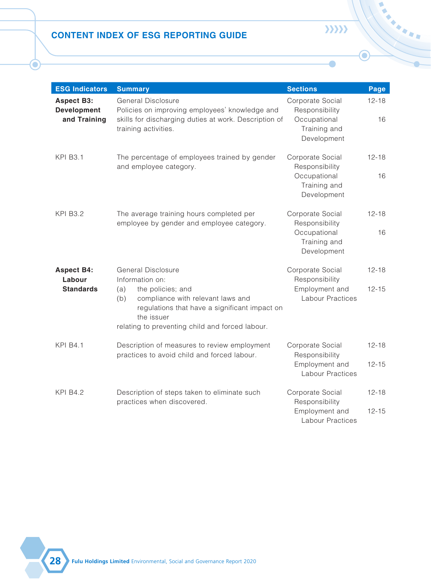| <b>ESG Indicators</b>                                   | <b>Summary</b>                                                                                                                                                                                                                                                                                                                                                                     | <b>Sections</b>                                                          | Page                   |
|---------------------------------------------------------|------------------------------------------------------------------------------------------------------------------------------------------------------------------------------------------------------------------------------------------------------------------------------------------------------------------------------------------------------------------------------------|--------------------------------------------------------------------------|------------------------|
| <b>Social</b>                                           |                                                                                                                                                                                                                                                                                                                                                                                    |                                                                          |                        |
|                                                         | <b>Employment and Labour Practices</b>                                                                                                                                                                                                                                                                                                                                             |                                                                          |                        |
| <b>Aspect B1:</b><br><b>Employment</b>                  | <b>General Disclosure</b><br>Information on:<br>the policies; and<br>(a)<br>(b)<br>compliance with relevant laws and<br>regulations that have a significant impact on<br>the issuer<br>relating to compensation and dismissal,<br>recruitment and promotion, working hours,<br>rest periods, equal opportunity, diversity, anti<br>discrimination, and other benefits and welfare. | Corporate Social<br>Responsibility<br>Employment and<br>Labour Practices | $12 - 18$<br>$12 - 15$ |
| <b>KPI B1.1</b>                                         | Total workforce by gender, employment type, age<br>group and geographical region.                                                                                                                                                                                                                                                                                                  | Corporate Social<br>Responsibility<br>Employment and<br>Labour Practices | $12 - 18$<br>$12 - 15$ |
| <b>KPI B1.2</b>                                         | Employee turnover rate by gender, age group and<br>geographical region.                                                                                                                                                                                                                                                                                                            | Corporate Social<br>Responsibility<br>Employment and<br>Labour Practices | $12 - 18$<br>$12 - 15$ |
| <b>Aspect B2:</b><br><b>Health and</b><br><b>Safety</b> | General Disclosure<br>Information on:<br>the policies; and<br>(a)<br>(b)<br>compliance with relevant laws and<br>regulations that have a significant impact on<br>the issuer<br>relating to providing a safe working environment<br>and protecting employees from occupational<br>hazards.                                                                                         | Corporate Social<br>Responsibility<br>Health and Safety                  | $12 - 18$<br>$17 - 18$ |
| <b>KPI B2.1</b>                                         | Number and rate of work-related fatalities.                                                                                                                                                                                                                                                                                                                                        | Corporate Social<br>Responsibility<br>Health and Safety                  | $12 - 18$<br>$17 - 18$ |
| <b>KPI B2.2</b>                                         | Lost days due to work injury.                                                                                                                                                                                                                                                                                                                                                      | Corporate Social<br>Responsibility<br>Health and Safety                  | $12 - 18$<br>$17 - 18$ |
| <b>KPI B2.3</b>                                         | Description of occupational health and safety<br>measures adopted, how they are implemented<br>and monitored.                                                                                                                                                                                                                                                                      | Corporate Social<br>Responsibility<br>Health and Safety                  | $12 - 18$<br>$17 - 18$ |

**KKK** 

6

C

**Fulu Holdings Limited** Environmental, Social and Governance Report 2020 **27**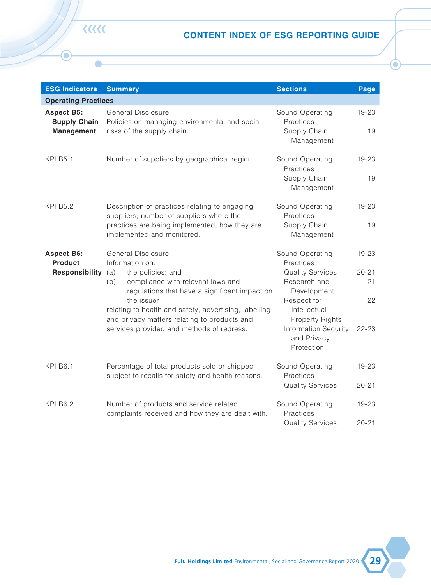O

| <b>ESG Indicators</b>                                   | <b>Summary</b>                                                                                                                                                                                                                  | <b>Sections</b>                                                                   | Page                   |
|---------------------------------------------------------|---------------------------------------------------------------------------------------------------------------------------------------------------------------------------------------------------------------------------------|-----------------------------------------------------------------------------------|------------------------|
| <b>Aspect B3:</b><br><b>Development</b><br>and Training | General Disclosure<br>Policies on improving employees' knowledge and<br>skills for discharging duties at work. Description of<br>training activities.                                                                           | Corporate Social<br>Responsibility<br>Occupational<br>Training and<br>Development | $12 - 18$<br>16        |
| <b>KPI B3.1</b>                                         | The percentage of employees trained by gender<br>and employee category.                                                                                                                                                         | Corporate Social<br>Responsibility<br>Occupational<br>Training and<br>Development | $12 - 18$<br>16        |
| <b>KPI B3.2</b>                                         | The average training hours completed per<br>employee by gender and employee category.                                                                                                                                           | Corporate Social<br>Responsibility<br>Occupational<br>Training and<br>Development | $12 - 18$<br>16        |
| <b>Aspect B4:</b><br>Labour<br><b>Standards</b>         | General Disclosure<br>Information on:<br>the policies; and<br>(a)<br>compliance with relevant laws and<br>(b)<br>regulations that have a significant impact on<br>the issuer<br>relating to preventing child and forced labour. | Corporate Social<br>Responsibility<br>Employment and<br>Labour Practices          | $12 - 18$<br>$12 - 15$ |
| <b>KPI B4.1</b>                                         | Description of measures to review employment<br>practices to avoid child and forced labour.                                                                                                                                     | Corporate Social<br>Responsibility<br>Employment and<br><b>Labour Practices</b>   | $12 - 18$<br>$12 - 15$ |
| <b>KPI B4.2</b>                                         | Description of steps taken to eliminate such<br>practices when discovered.                                                                                                                                                      | Corporate Social<br>Responsibility<br>Employment and<br><b>Labour Practices</b>   | $12 - 18$<br>$12 - 15$ |

 $\rangle\rangle\rangle\rangle$ 

 $\bullet$ 

 $\mathbf{\Theta}$ 

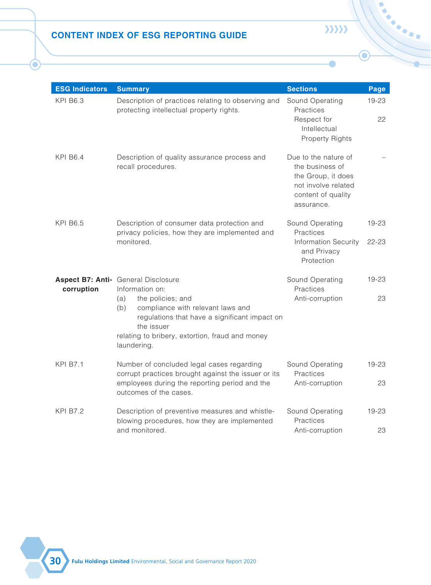п

| <b>ESG Indicators</b>                                         | <b>Summary</b>                                                                                                                                                                                                                                                                                                                     | <b>Sections</b>                                                                                                                                                                                             | Page                                            |
|---------------------------------------------------------------|------------------------------------------------------------------------------------------------------------------------------------------------------------------------------------------------------------------------------------------------------------------------------------------------------------------------------------|-------------------------------------------------------------------------------------------------------------------------------------------------------------------------------------------------------------|-------------------------------------------------|
| <b>Operating Practices</b>                                    |                                                                                                                                                                                                                                                                                                                                    |                                                                                                                                                                                                             |                                                 |
| <b>Aspect B5:</b><br><b>Supply Chain</b><br><b>Management</b> | General Disclosure<br>Policies on managing environmental and social<br>risks of the supply chain.                                                                                                                                                                                                                                  | Sound Operating<br>Practices<br>Supply Chain<br>Management                                                                                                                                                  | 19-23<br>19                                     |
| <b>KPI B5.1</b>                                               | Number of suppliers by geographical region.                                                                                                                                                                                                                                                                                        | Sound Operating<br>Practices<br>Supply Chain<br>Management                                                                                                                                                  | 19-23<br>19                                     |
| <b>KPI B5.2</b>                                               | Description of practices relating to engaging<br>suppliers, number of suppliers where the<br>practices are being implemented, how they are<br>implemented and monitored.                                                                                                                                                           | Sound Operating<br>Practices<br>Supply Chain<br>Management                                                                                                                                                  | 19-23<br>19                                     |
| <b>Aspect B6:</b><br><b>Product</b><br>Responsibility         | General Disclosure<br>Information on:<br>the policies; and<br>(a)<br>compliance with relevant laws and<br>(b)<br>regulations that have a significant impact on<br>the issuer<br>relating to health and safety, advertising, labelling<br>and privacy matters relating to products and<br>services provided and methods of redress. | Sound Operating<br>Practices<br><b>Quality Services</b><br>Research and<br>Development<br>Respect for<br>Intellectual<br><b>Property Rights</b><br><b>Information Security</b><br>and Privacy<br>Protection | $19 - 23$<br>$20 - 21$<br>21<br>22<br>$22 - 23$ |
| <b>KPI B6.1</b>                                               | Percentage of total products sold or shipped<br>subject to recalls for safety and health reasons.                                                                                                                                                                                                                                  | Sound Operating<br>Practices<br><b>Quality Services</b>                                                                                                                                                     | 19-23<br>$20 - 21$                              |
| <b>KPI B6.2</b>                                               | Number of products and service related<br>complaints received and how they are dealt with.                                                                                                                                                                                                                                         | Sound Operating<br>Practices<br><b>Quality Services</b>                                                                                                                                                     | 19-23<br>$20 - 21$                              |

**KKK**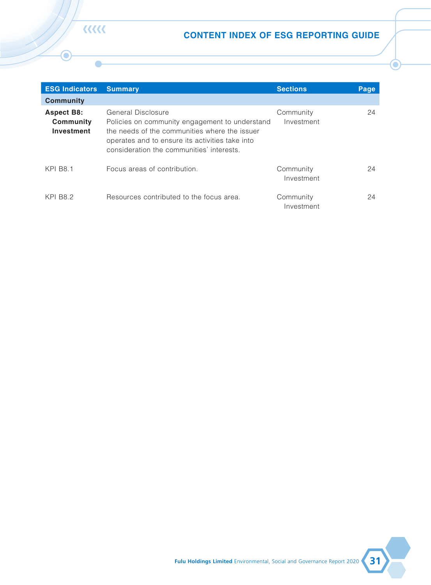O

| <b>ESG Indicators</b> | <b>Summary</b>                                                                                                                                                                         | <b>Sections</b>                                                                                                          | Page        |
|-----------------------|----------------------------------------------------------------------------------------------------------------------------------------------------------------------------------------|--------------------------------------------------------------------------------------------------------------------------|-------------|
| <b>KPI B6.3</b>       | Description of practices relating to observing and<br>protecting intellectual property rights.                                                                                         | Sound Operating<br>Practices<br>Respect for                                                                              | 19-23<br>22 |
|                       |                                                                                                                                                                                        | Intellectual<br><b>Property Rights</b>                                                                                   |             |
| <b>KPI B6.4</b>       | Description of quality assurance process and<br>recall procedures.                                                                                                                     | Due to the nature of<br>the business of<br>the Group, it does<br>not involve related<br>content of quality<br>assurance. |             |
| <b>KPI B6.5</b>       | Description of consumer data protection and<br>privacy policies, how they are implemented and                                                                                          | Sound Operating<br>Practices                                                                                             | 19-23       |
|                       | monitored.                                                                                                                                                                             | <b>Information Security</b><br>and Privacy<br>Protection                                                                 | $22 - 23$   |
| corruption            | Aspect B7: Anti- General Disclosure<br>Information on:                                                                                                                                 | Sound Operating<br>Practices                                                                                             | 19-23       |
|                       | the policies; and<br>(a)<br>compliance with relevant laws and<br>(b)<br>regulations that have a significant impact on<br>the issuer<br>relating to bribery, extortion, fraud and money | Anti-corruption                                                                                                          | 23          |
|                       | laundering.                                                                                                                                                                            |                                                                                                                          |             |
| <b>KPI B7.1</b>       | Number of concluded legal cases regarding<br>corrupt practices brought against the issuer or its                                                                                       | Sound Operating<br>Practices                                                                                             | 19-23       |
|                       | employees during the reporting period and the<br>outcomes of the cases.                                                                                                                | Anti-corruption                                                                                                          | 23          |
| <b>KPI B7.2</b>       | Description of preventive measures and whistle-<br>blowing procedures, how they are implemented                                                                                        | Sound Operating<br>Practices                                                                                             | 19-23       |
|                       | and monitored.                                                                                                                                                                         | Anti-corruption                                                                                                          | 23          |

 $\mathbf{\Theta}$ 

 $\rangle\rangle\rangle\rangle$ 

 $\bullet$